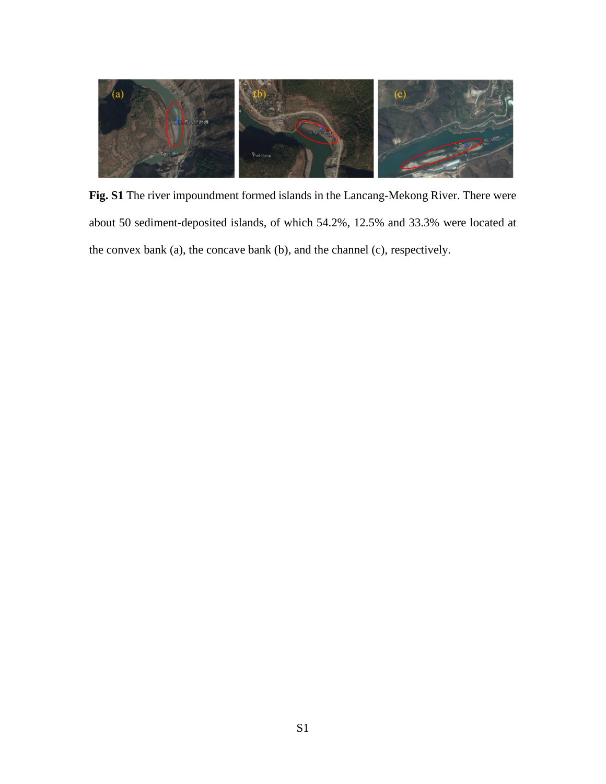

**Fig. S1** The river impoundment formed islands in the Lancang-Mekong River. There were about 50 sediment-deposited islands, of which 54.2%, 12.5% and 33.3% were located at the convex bank (a), the concave bank (b), and the channel (c), respectively.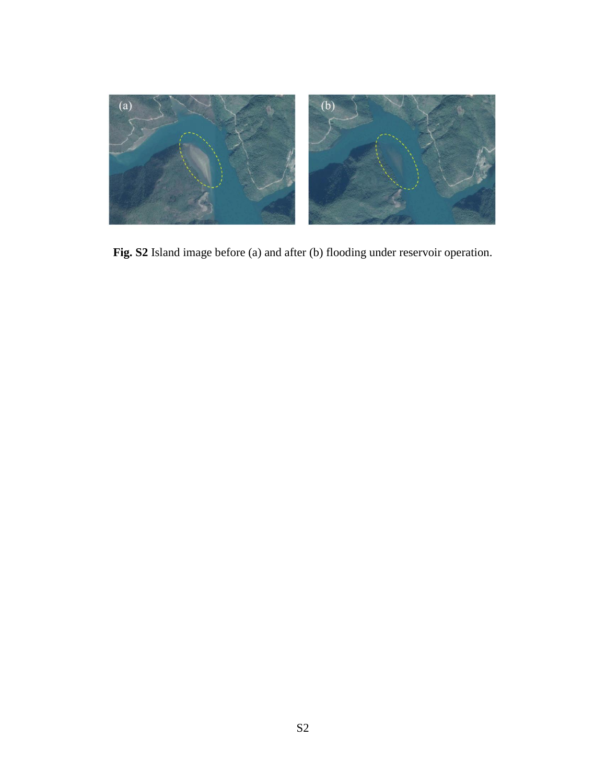

**Fig. S2** Island image before (a) and after (b) flooding under reservoir operation.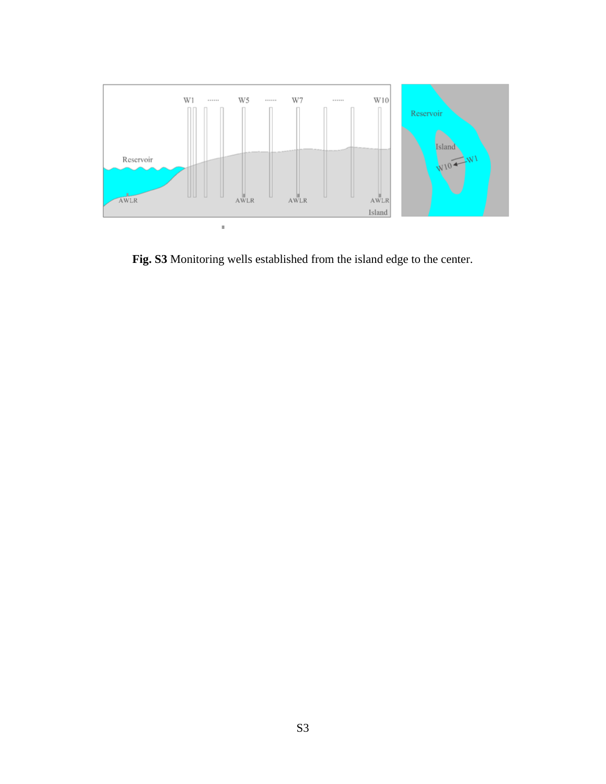

**Fig. S3** Monitoring wells established from the island edge to the center.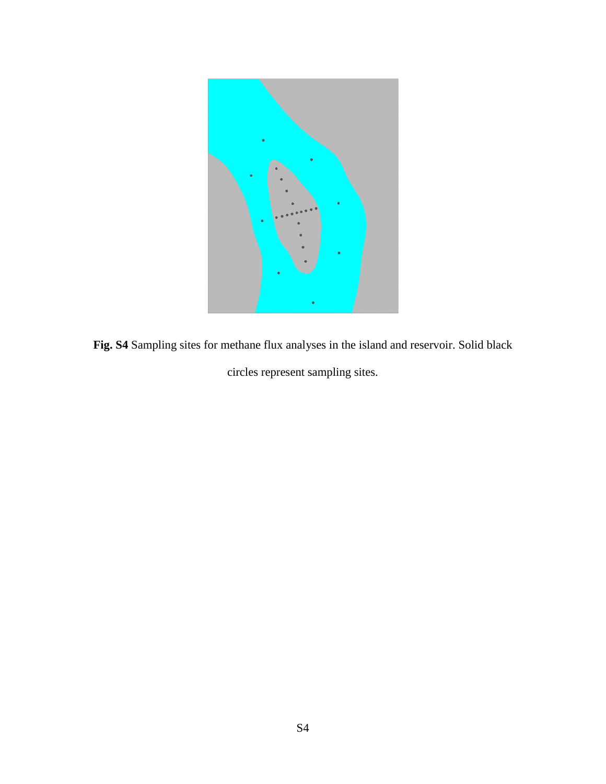

**Fig. S4** Sampling sites for methane flux analyses in the island and reservoir. Solid black circles represent sampling sites.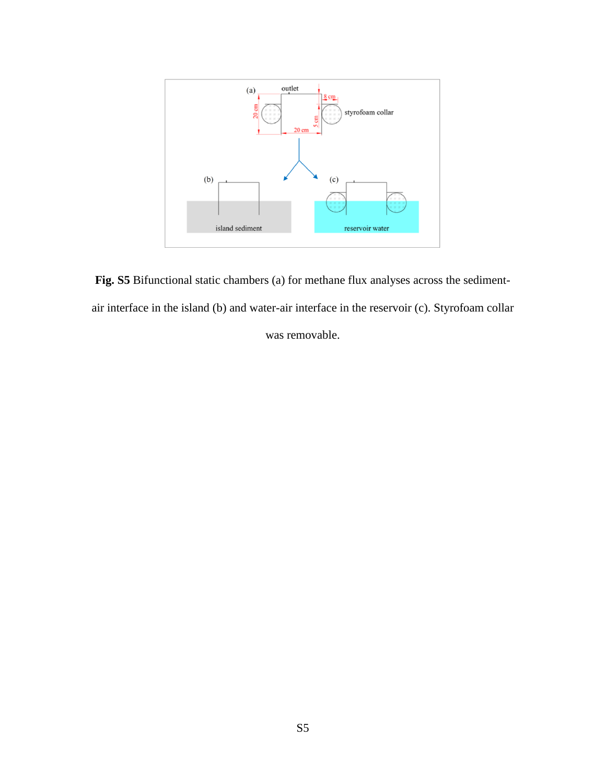

**Fig. S5** Bifunctional static chambers (a) for methane flux analyses across the sedimentair interface in the island (b) and water-air interface in the reservoir (c). Styrofoam collar

was removable.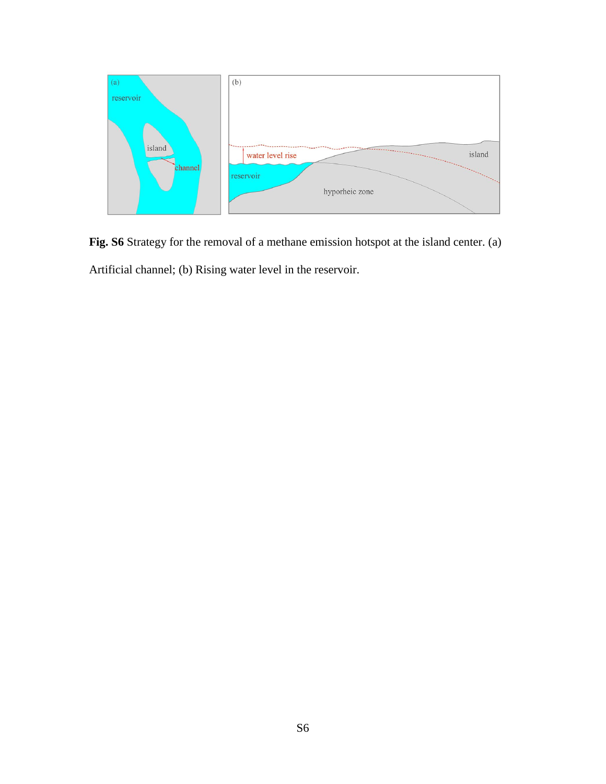

**Fig. S6** Strategy for the removal of a methane emission hotspot at the island center. (a)

Artificial channel; (b) Rising water level in the reservoir.